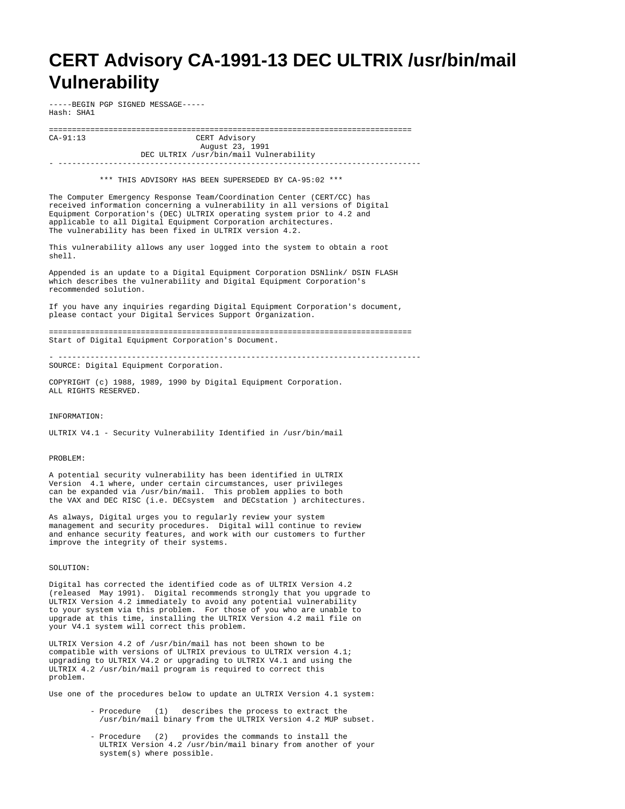## **CERT Advisory CA-1991-13 DEC ULTRIX /usr/bin/mail Vulnerability**

-----BEGIN PGP SIGNED MESSAGE----- Hash: SHA1

=============================================================================== CERT Advisory August 23, 1991

 DEC ULTRIX /usr/bin/mail Vulnerability - -------------------------------------------------------------------------------

\*\*\* THIS ADVISORY HAS BEEN SUPERSEDED BY CA-95:02 \*\*\*

The Computer Emergency Response Team/Coordination Center (CERT/CC) has received information concerning a vulnerability in all versions of Digital Equipment Corporation's (DEC) ULTRIX operating system prior to 4.2 and applicable to all Digital Equipment Corporation architectures. The vulnerability has been fixed in ULTRIX version 4.2.

This vulnerability allows any user logged into the system to obtain a root shell.

Appended is an update to a Digital Equipment Corporation DSNlink/ DSIN FLASH which describes the vulnerability and Digital Equipment Corporation's recommended solution.

If you have any inquiries regarding Digital Equipment Corporation's document, please contact your Digital Services Support Organization.

=============================================================================== Start of Digital Equipment Corporation's Document.

- ------------------------------------------------------------------------------- SOURCE: Digital Equipment Corporation.

COPYRIGHT (c) 1988, 1989, 1990 by Digital Equipment Corporation. ALL RIGHTS RESERVED.

## INFORMATION:

ULTRIX V4.1 - Security Vulnerability Identified in /usr/bin/mail

## PROBLEM:

A potential security vulnerability has been identified in ULTRIX Version 4.1 where, under certain circumstances, user privileges can be expanded via /usr/bin/mail. This problem applies to both the VAX and DEC RISC (i.e. DECsystem and DECstation ) architectures.

As always, Digital urges you to regularly review your system management and security procedures. Digital will continue to review and enhance security features, and work with our customers to further improve the integrity of their systems.

## SOLUTION:

Digital has corrected the identified code as of ULTRIX Version 4.2 (released May 1991). Digital recommends strongly that you upgrade to ULTRIX Version 4.2 immediately to avoid any potential vulnerability to your system via this problem. For those of you who are unable to upgrade at this time, installing the ULTRIX Version 4.2 mail file on your V4.1 system will correct this problem.

ULTRIX Version 4.2 of /usr/bin/mail has not been shown to be compatible with versions of ULTRIX previous to ULTRIX version 4.1; upgrading to ULTRIX V4.2 or upgrading to ULTRIX V4.1 and using the ULTRIX 4.2 /usr/bin/mail program is required to correct this problem.

Use one of the procedures below to update an ULTRIX Version 4.1 system:

- Procedure (1) describes the process to extract the /usr/bin/mail binary from the ULTRIX Version 4.2 MUP subset.
- Procedure (2) provides the commands to install the ULTRIX Version 4.2 /usr/bin/mail binary from another of your system(s) where possible.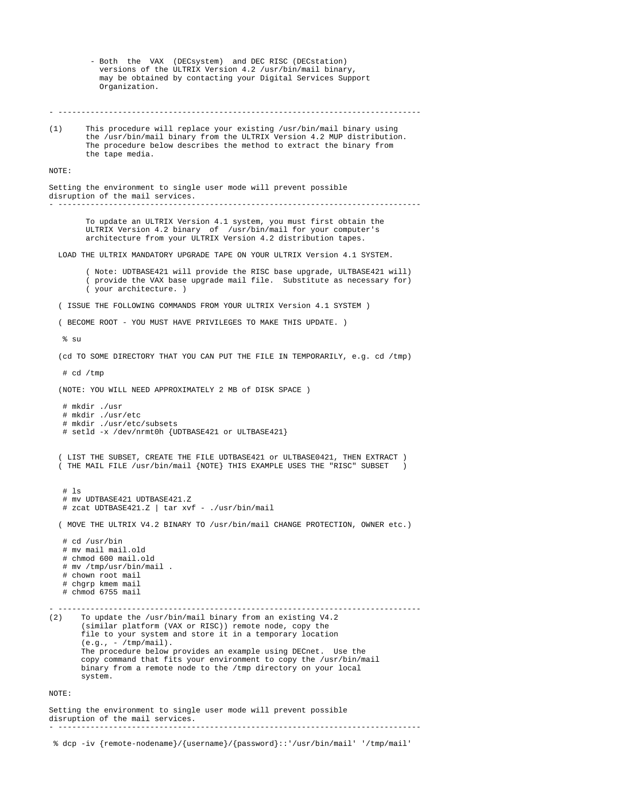- Both the VAX (DECsystem) and DEC RISC (DECstation) versions of the ULTRIX Version 4.2 /usr/bin/mail binary, may be obtained by contacting your Digital Services Support Organization. - ------------------------------------------------------------------------------- (1) This procedure will replace your existing /usr/bin/mail binary using the /usr/bin/mail binary from the ULTRIX Version 4.2 MUP distribution. The procedure below describes the method to extract the binary from the tape media. NOTE: Setting the environment to single user mode will prevent possible disruption of the mail services. - ------------------------------------------------------------------------------- To update an ULTRIX Version 4.1 system, you must first obtain the ULTRIX Version 4.2 binary of /usr/bin/mail for your computer's architecture from your ULTRIX Version 4.2 distribution tapes. LOAD THE ULTRIX MANDATORY UPGRADE TAPE ON YOUR ULTRIX Version 4.1 SYSTEM. ( Note: UDTBASE421 will provide the RISC base upgrade, ULTBASE421 will) ( provide the VAX base upgrade mail file. Substitute as necessary for) ( your architecture. ) ( ISSUE THE FOLLOWING COMMANDS FROM YOUR ULTRIX Version 4.1 SYSTEM ) ( BECOME ROOT - YOU MUST HAVE PRIVILEGES TO MAKE THIS UPDATE. )  $%$  su (cd TO SOME DIRECTORY THAT YOU CAN PUT THE FILE IN TEMPORARILY, e.g. cd /tmp) # cd /tmp (NOTE: YOU WILL NEED APPROXIMATELY 2 MB of DISK SPACE ) # mkdir ./usr # mkdir ./usr/etc # mkdir ./usr/etc/subsets # setld -x /dev/nrmt0h {UDTBASE421 or ULTBASE421} ( LIST THE SUBSET, CREATE THE FILE UDTBASE421 or ULTBASE0421, THEN EXTRACT ) ( THE MAIL FILE /usr/bin/mail {NOTE} THIS EXAMPLE USES THE "RISC" SUBSET ) # ls # mv UDTBASE421 UDTBASE421.Z # zcat UDTBASE421.Z | tar xvf - ./usr/bin/mail ( MOVE THE ULTRIX V4.2 BINARY TO /usr/bin/mail CHANGE PROTECTION, OWNER etc.) # cd /usr/bin # mv mail mail.old # chmod 600 mail.old # mv /tmp/usr/bin/mail . # chown root mail # chgrp kmem mail # chmod 6755 mail - ------------------------------------------------------------------------------- To update the /usr/bin/mail binary from an existing V4.2 (similar platform (VAX or RISC)) remote node, copy the file to your system and store it in a temporary location  $(e,q, - /tmp / mail).$  The procedure below provides an example using DECnet. Use the copy command that fits your environment to copy the /usr/bin/mail binary from a remote node to the /tmp directory on your local system. NOTE: Setting the environment to single user mode will prevent possible disruption of the mail services. - -------------------------------------------------------------------------------

% dcp -iv {remote-nodename}/{username}/{password}::'/usr/bin/mail' '/tmp/mail'